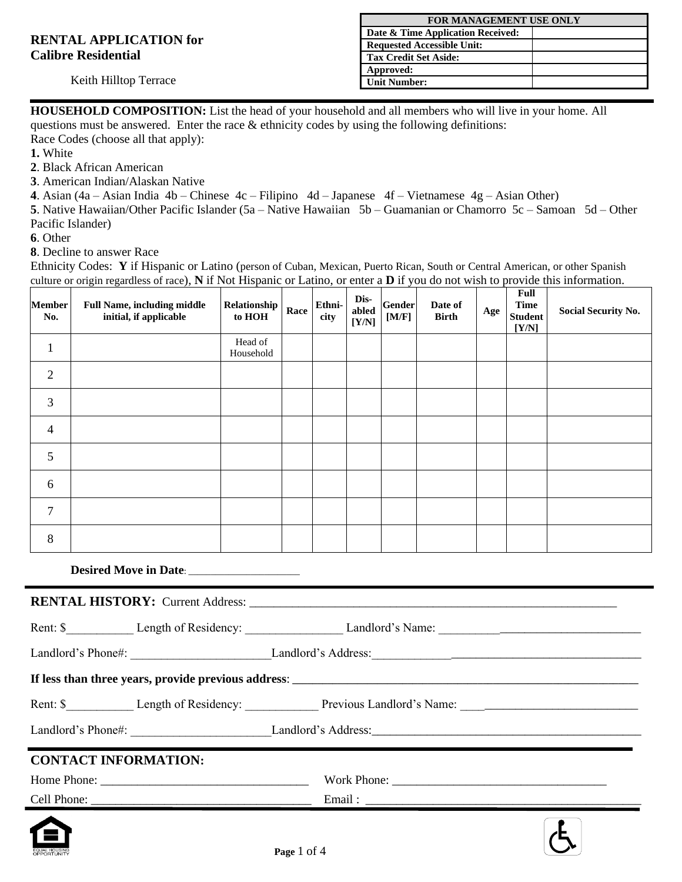|                               | <b>FOR MANAGEMENT USE ONLY</b>    |  |  |
|-------------------------------|-----------------------------------|--|--|
|                               | Date & Time Application Received: |  |  |
| <b>RENTAL APPLICATION for</b> | <b>Requested Accessible Unit:</b> |  |  |
| <b>Calibre Residential</b>    | <b>Tax Credit Set Aside:</b>      |  |  |
|                               | Approved:                         |  |  |
| Keith Hilltop Terrace         | <b>Unit Number:</b>               |  |  |
|                               |                                   |  |  |

**. HOUSEHOLD COMPOSITION:** List the head of your household and all members who will live in your home. All questions must be answered. Enter the race & ethnicity codes by using the following definitions:

Race Codes (choose all that apply):

**1.** White

**2**. Black African American

**3**. American Indian/Alaskan Native

**4**. Asian (4a – Asian India 4b – Chinese 4c – Filipino 4d – Japanese 4f – Vietnamese 4g – Asian Other)

**5**. Native Hawaiian/Other Pacific Islander (5a – Native Hawaiian 5b – Guamanian or Chamorro 5c – Samoan 5d – Other Pacific Islander)

**6**. Other

**8**. Decline to answer Race

Ethnicity Codes: **Y** if Hispanic or Latino (person of Cuban, Mexican, Puerto Rican, South or Central American, or other Spanish culture or origin regardless of race), **N** if Not Hispanic or Latino, or enter a **D** if you do not wish to provide this information.

| <b>Member</b><br>No. | <b>Full Name, including middle</b><br>initial, if applicable | Relationship<br>to HOH | Race | Ethni-<br>city | Dis-<br>abled<br>[Y/N] | <b>Gender</b><br>[M/F] | Date of<br><b>Birth</b> | Age | <b>Full</b><br><b>Time</b><br><b>Student</b><br>[Y/N] | <b>Social Security No.</b> |
|----------------------|--------------------------------------------------------------|------------------------|------|----------------|------------------------|------------------------|-------------------------|-----|-------------------------------------------------------|----------------------------|
| $\mathbf{1}$         |                                                              | Head of<br>Household   |      |                |                        |                        |                         |     |                                                       |                            |
| $\overline{2}$       |                                                              |                        |      |                |                        |                        |                         |     |                                                       |                            |
| 3                    |                                                              |                        |      |                |                        |                        |                         |     |                                                       |                            |
| 4                    |                                                              |                        |      |                |                        |                        |                         |     |                                                       |                            |
| 5                    |                                                              |                        |      |                |                        |                        |                         |     |                                                       |                            |
| 6                    |                                                              |                        |      |                |                        |                        |                         |     |                                                       |                            |
| $\overline{7}$       |                                                              |                        |      |                |                        |                        |                         |     |                                                       |                            |
| 8                    |                                                              |                        |      |                |                        |                        |                         |     |                                                       |                            |
|                      |                                                              |                        |      |                |                        |                        |                         |     |                                                       |                            |
|                      |                                                              |                        |      |                |                        |                        |                         |     |                                                       |                            |
|                      |                                                              |                        |      |                |                        |                        |                         |     |                                                       |                            |
|                      |                                                              |                        |      |                |                        |                        |                         |     |                                                       |                            |

**If less than three years, provide previous address**: **\_\_\_\_\_\_\_\_\_\_\_\_\_\_\_\_\_\_\_\_\_\_\_\_\_\_\_\_\_\_\_\_\_\_\_\_\_\_\_\_\_\_\_\_\_\_\_\_\_\_\_\_\_\_\_\_\_\_\_\_\_\_\_\_\_\_\_\_\_**

| Rent: | Length of Residency | Previous<br>Name:<br>Landlord <sup>7</sup> |  |
|-------|---------------------|--------------------------------------------|--|
|       |                     |                                            |  |

Landlord's Phone#: \_\_\_\_\_\_\_\_\_\_\_\_\_\_\_\_\_\_\_\_\_\_\_Landlord's Address:\_\_\_\_\_\_\_\_\_\_\_\_\_\_\_\_\_\_\_\_\_\_\_\_\_\_\_\_\_\_\_\_\_\_\_\_\_\_\_\_\_\_\_\_

## **CONTACT INFORMATION:**

| Cell Phone: | Email:      |  |
|-------------|-------------|--|
| Home Phone: | Work Phone: |  |

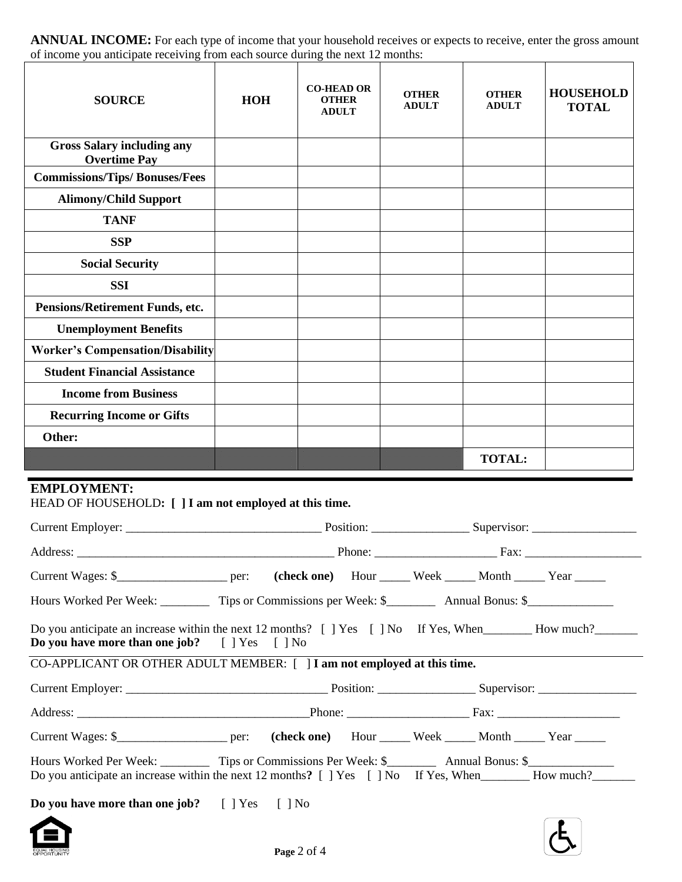**ANNUAL INCOME:** For each type of income that your household receives or expects to receive, enter the gross amount of income you anticipate receiving from each source during the next 12 months:

| of income you anticipate receiving from each source during the next 12 months:                                                   |                                    |                                                          |                              |                               |                                  |
|----------------------------------------------------------------------------------------------------------------------------------|------------------------------------|----------------------------------------------------------|------------------------------|-------------------------------|----------------------------------|
| <b>SOURCE</b>                                                                                                                    | <b>HOH</b>                         | <b>CO-HEAD OR</b><br><b>OTHER</b><br><b>ADULT</b>        | <b>OTHER</b><br><b>ADULT</b> | <b>OTHER</b><br><b>ADULT</b>  | <b>HOUSEHOLD</b><br><b>TOTAL</b> |
| <b>Gross Salary including any</b><br><b>Overtime Pay</b>                                                                         |                                    |                                                          |                              |                               |                                  |
| <b>Commissions/Tips/Bonuses/Fees</b>                                                                                             |                                    |                                                          |                              |                               |                                  |
| <b>Alimony/Child Support</b>                                                                                                     |                                    |                                                          |                              |                               |                                  |
| <b>TANF</b>                                                                                                                      |                                    |                                                          |                              |                               |                                  |
| <b>SSP</b>                                                                                                                       |                                    |                                                          |                              |                               |                                  |
| <b>Social Security</b>                                                                                                           |                                    |                                                          |                              |                               |                                  |
| <b>SSI</b>                                                                                                                       |                                    |                                                          |                              |                               |                                  |
| Pensions/Retirement Funds, etc.                                                                                                  |                                    |                                                          |                              |                               |                                  |
| <b>Unemployment Benefits</b>                                                                                                     |                                    |                                                          |                              |                               |                                  |
| <b>Worker's Compensation/Disability</b>                                                                                          |                                    |                                                          |                              |                               |                                  |
| <b>Student Financial Assistance</b>                                                                                              |                                    |                                                          |                              |                               |                                  |
| <b>Income from Business</b>                                                                                                      |                                    |                                                          |                              |                               |                                  |
| <b>Recurring Income or Gifts</b>                                                                                                 |                                    |                                                          |                              |                               |                                  |
| Other:                                                                                                                           |                                    |                                                          |                              |                               |                                  |
|                                                                                                                                  |                                    |                                                          |                              | <b>TOTAL:</b>                 |                                  |
| <b>EMPLOYMENT:</b><br>HEAD OF HOUSEHOLD: [ ] I am not employed at this time.                                                     |                                    |                                                          |                              |                               |                                  |
| Current Employer:                                                                                                                |                                    |                                                          |                              |                               |                                  |
| Address:                                                                                                                         |                                    | $\frac{1}{2}$ Phone:                                     |                              | Fax: $\overline{\phantom{a}}$ |                                  |
|                                                                                                                                  |                                    | (check one) Hour _____ Week _____ Month _____ Year _____ |                              |                               |                                  |
| Hours Worked Per Week: __________ Tips or Commissions per Week: \$__________ Annual Bonus: \$______________                      |                                    |                                                          |                              |                               |                                  |
| Do you anticipate an increase within the next 12 months? [ ] Yes [ ] No If Yes, When How much?<br>Do you have more than one job? | $[$ ] Yes<br>$\lceil \; \rceil$ No |                                                          |                              |                               |                                  |
| CO-APPLICANT OR OTHER ADULT MEMBER: [ ] I am not employed at this time.                                                          |                                    |                                                          |                              |                               |                                  |
| Current Employer                                                                                                                 |                                    | $Position+$                                              |                              | Supervisor <sup>.</sup>       |                                  |

| Current Employer: | Position: |             |      |      | Supervisor: |      |  |
|-------------------|-----------|-------------|------|------|-------------|------|--|
| Address:          |           | Phone:      |      |      | Fax:        |      |  |
| Current Wages: \$ | per:      | (check one) | Hour | Week | Month       | Year |  |

Hours Worked Per Week: \_\_\_\_\_\_\_\_\_\_\_ Tips or Commissions Per Week: \$\_\_\_\_\_\_\_\_\_\_\_\_ Annual Bonus: \$\_\_\_\_\_ Do you anticipate an increase within the next 12 months? [ ] Yes [ ] No If Yes, When\_\_\_\_\_\_\_\_ How much?\_\_\_\_\_\_\_\_

**Do you have more than one job?** [ ] Yes [ ] No

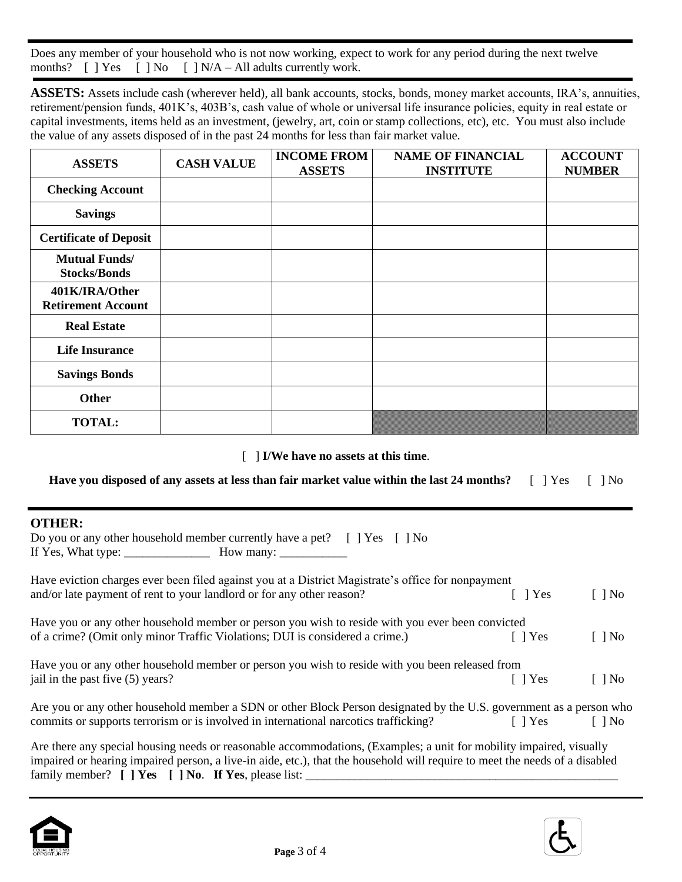Does any member of your household who is not now working, expect to work for any period during the next twelve months?  $[ ] Yes [ ] No [ ] N/A - All adults currently work.$ 

**ASSETS:** Assets include cash (wherever held), all bank accounts, stocks, bonds, money market accounts, IRA's, annuities, retirement/pension funds, 401K's, 403B's, cash value of whole or universal life insurance policies, equity in real estate or capital investments, items held as an investment, (jewelry, art, coin or stamp collections, etc), etc. You must also include the value of any assets disposed of in the past 24 months for less than fair market value.

| <b>ASSETS</b>                               | <b>CASH VALUE</b> | <b>INCOME FROM</b><br><b>ASSETS</b> | <b>NAME OF FINANCIAL</b><br><b>INSTITUTE</b> | <b>ACCOUNT</b><br><b>NUMBER</b> |
|---------------------------------------------|-------------------|-------------------------------------|----------------------------------------------|---------------------------------|
| <b>Checking Account</b>                     |                   |                                     |                                              |                                 |
| <b>Savings</b>                              |                   |                                     |                                              |                                 |
| <b>Certificate of Deposit</b>               |                   |                                     |                                              |                                 |
| <b>Mutual Funds/</b><br><b>Stocks/Bonds</b> |                   |                                     |                                              |                                 |
| 401K/IRA/Other<br><b>Retirement Account</b> |                   |                                     |                                              |                                 |
| <b>Real Estate</b>                          |                   |                                     |                                              |                                 |
| <b>Life Insurance</b>                       |                   |                                     |                                              |                                 |
| <b>Savings Bonds</b>                        |                   |                                     |                                              |                                 |
| <b>Other</b>                                |                   |                                     |                                              |                                 |
| <b>TOTAL:</b>                               |                   |                                     |                                              |                                 |

[ ] **I/We have no assets at this time**.

**Have you disposed of any assets at less than fair market value within the last 24 months?** [ ] Yes [ ] No

|                    | Do you or any other household member currently have a pet? $\left[ \begin{array}{cc} \end{array} \right]$ Yes $\left[ \begin{array}{cc} \end{array} \right]$ No |  |
|--------------------|-----------------------------------------------------------------------------------------------------------------------------------------------------------------|--|
| If Yes, What type: | How many:                                                                                                                                                       |  |

| Have eviction charges ever been filed against you at a District Magistrate's office for nonpayment                  |            |                      |
|---------------------------------------------------------------------------------------------------------------------|------------|----------------------|
| and/or late payment of rent to your landlord or for any other reason?                                               | 1 Yes      | $\Box$ No            |
| Have you or any other household member or person you wish to reside with you ever been convicted                    |            |                      |
| of a crime? (Omit only minor Traffic Violations; DUI is considered a crime.)                                        | $\Box$ Yes | $\Box$ No            |
| Have you or any other household member or person you wish to reside with you been released from                     |            |                      |
| jail in the past five (5) years?                                                                                    | $\Box$ Yes | $\lceil \ \rceil$ No |
| Are you or any other household member a SDN or other Block Person designated by the U.S. government as a person who |            |                      |

Are you or any other household member a SDN or other Block Person designated by the U.S. government as a person who commits or supports terrorism or is involved in international narcotics trafficking? [ ] Yes [ ] No

Are there any special housing needs or reasonable accommodations, (Examples; a unit for mobility impaired, visually impaired or hearing impaired person, a live-in aide, etc.), that the household will require to meet the needs of a disabled family member? **[ ] Yes [ ] No**. **If Yes**, please list: \_\_\_\_\_\_\_\_\_\_\_\_\_\_\_\_\_\_\_\_\_\_\_\_\_\_\_\_\_\_\_\_\_\_\_\_\_\_\_\_\_\_\_\_\_\_\_\_\_\_\_